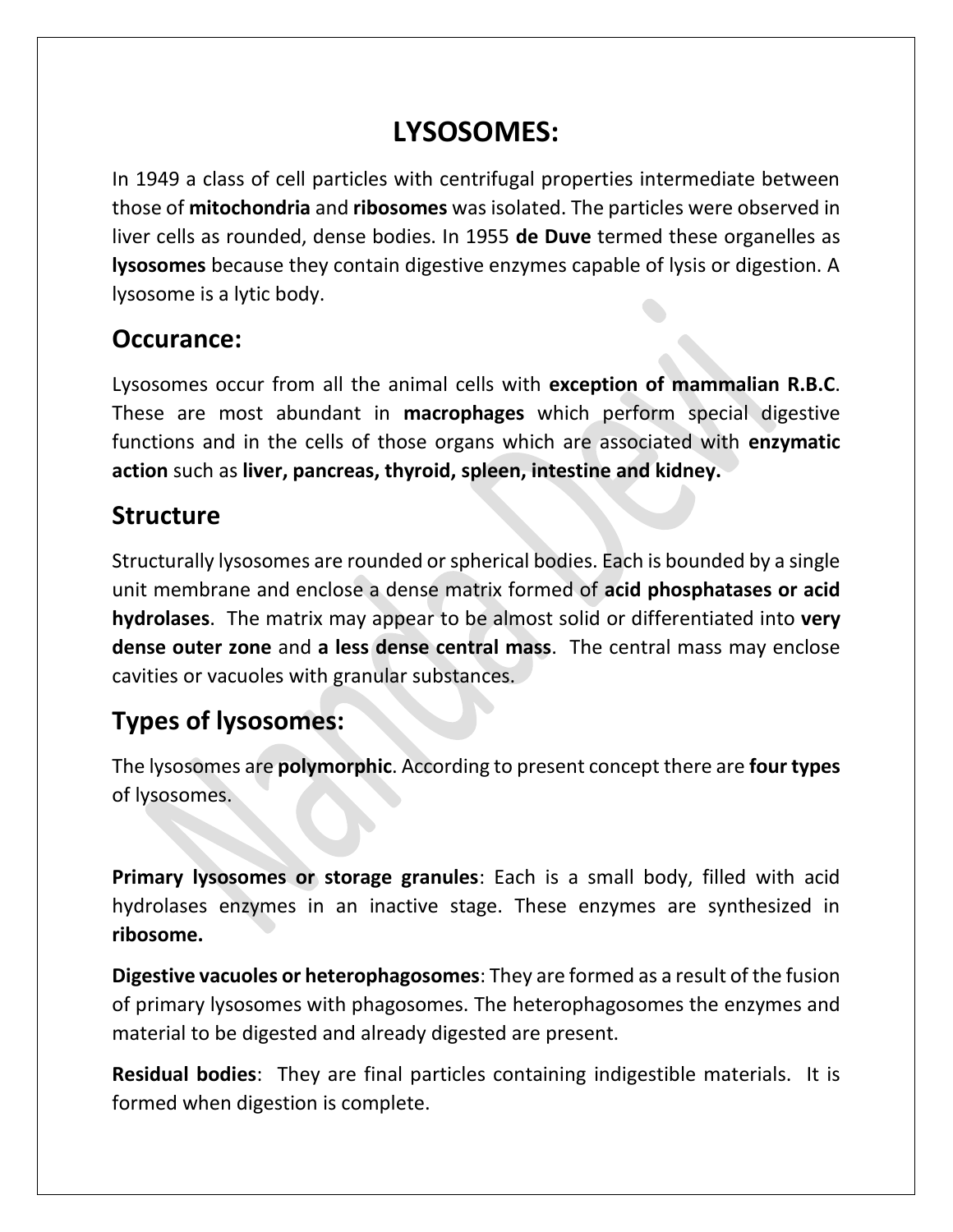# **LYSOSOMES:**

In 1949 a class of cell particles with centrifugal properties intermediate between those of **mitochondria** and **ribosomes** was isolated. The particles were observed in liver cells as rounded, dense bodies. In 1955 **de Duve** termed these organelles as **lysosomes** because they contain digestive enzymes capable of lysis or digestion. A lysosome is a lytic body.

#### **Occurance:**

Lysosomes occur from all the animal cells with **exception of mammalian R.B.C**. These are most abundant in **macrophages** which perform special digestive functions and in the cells of those organs which are associated with **enzymatic action** such as **liver, pancreas, thyroid, spleen, intestine and kidney.**

#### **Structure**

Structurally lysosomes are rounded or spherical bodies. Each is bounded by a single unit membrane and enclose a dense matrix formed of **acid phosphatases or acid hydrolases**. The matrix may appear to be almost solid or differentiated into **very dense outer zone** and **a less dense central mass**. The central mass may enclose cavities or vacuoles with granular substances.

### **Types of lysosomes:**

The lysosomes are **polymorphic**. According to present concept there are **four types** of lysosomes.

**Primary lysosomes or storage granules**: Each is a small body, filled with acid hydrolases enzymes in an inactive stage. These enzymes are synthesized in **ribosome.**

**Digestive vacuoles or heterophagosomes**: They are formed as a result of the fusion of primary lysosomes with phagosomes. The heterophagosomes the enzymes and material to be digested and already digested are present.

**Residual bodies**: They are final particles containing indigestible materials. It is formed when digestion is complete.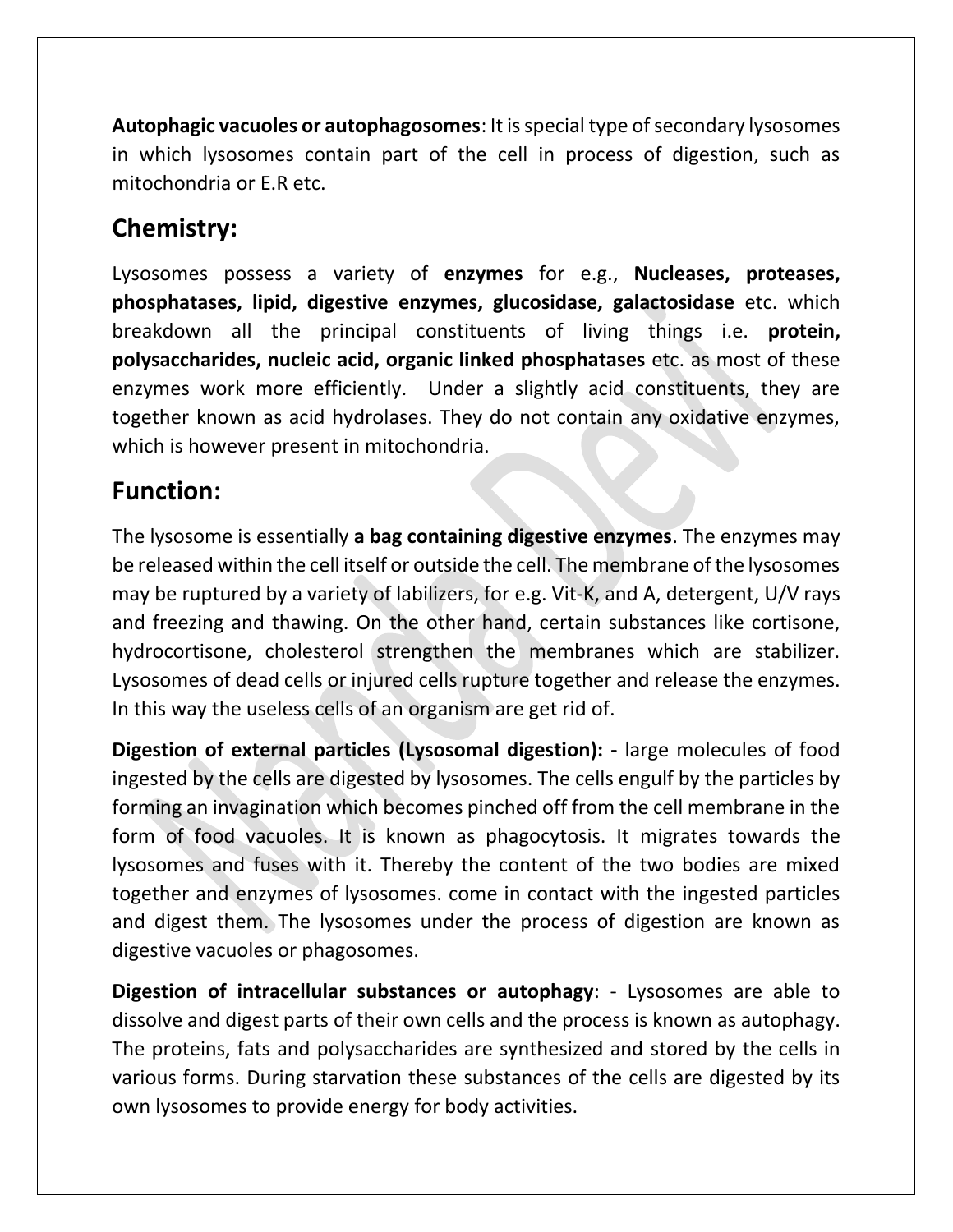**Autophagic vacuoles or autophagosomes**: It is special type of secondary lysosomes in which lysosomes contain part of the cell in process of digestion, such as mitochondria or E.R etc.

### **Chemistry:**

Lysosomes possess a variety of **enzymes** for e.g., **Nucleases, proteases, phosphatases, lipid, digestive enzymes, glucosidase, galactosidase** etc. which breakdown all the principal constituents of living things i.e. **protein, polysaccharides, nucleic acid, organic linked phosphatases** etc. as most of these enzymes work more efficiently. Under a slightly acid constituents, they are together known as acid hydrolases. They do not contain any oxidative enzymes, which is however present in mitochondria.

#### **Function:**

The lysosome is essentially **a bag containing digestive enzymes**. The enzymes may be released within the cell itself or outside the cell. The membrane of the lysosomes may be ruptured by a variety of labilizers, for e.g. Vit-K, and A, detergent, U/V rays and freezing and thawing. On the other hand, certain substances like cortisone, hydrocortisone, cholesterol strengthen the membranes which are stabilizer. Lysosomes of dead cells or injured cells rupture together and release the enzymes. In this way the useless cells of an organism are get rid of.

**Digestion of external particles (Lysosomal digestion): -** large molecules of food ingested by the cells are digested by lysosomes. The cells engulf by the particles by forming an invagination which becomes pinched off from the cell membrane in the form of food vacuoles. It is known as phagocytosis. It migrates towards the lysosomes and fuses with it. Thereby the content of the two bodies are mixed together and enzymes of lysosomes. come in contact with the ingested particles and digest them. The lysosomes under the process of digestion are known as digestive vacuoles or phagosomes.

**Digestion of intracellular substances or autophagy**: - Lysosomes are able to dissolve and digest parts of their own cells and the process is known as autophagy. The proteins, fats and polysaccharides are synthesized and stored by the cells in various forms. During starvation these substances of the cells are digested by its own lysosomes to provide energy for body activities.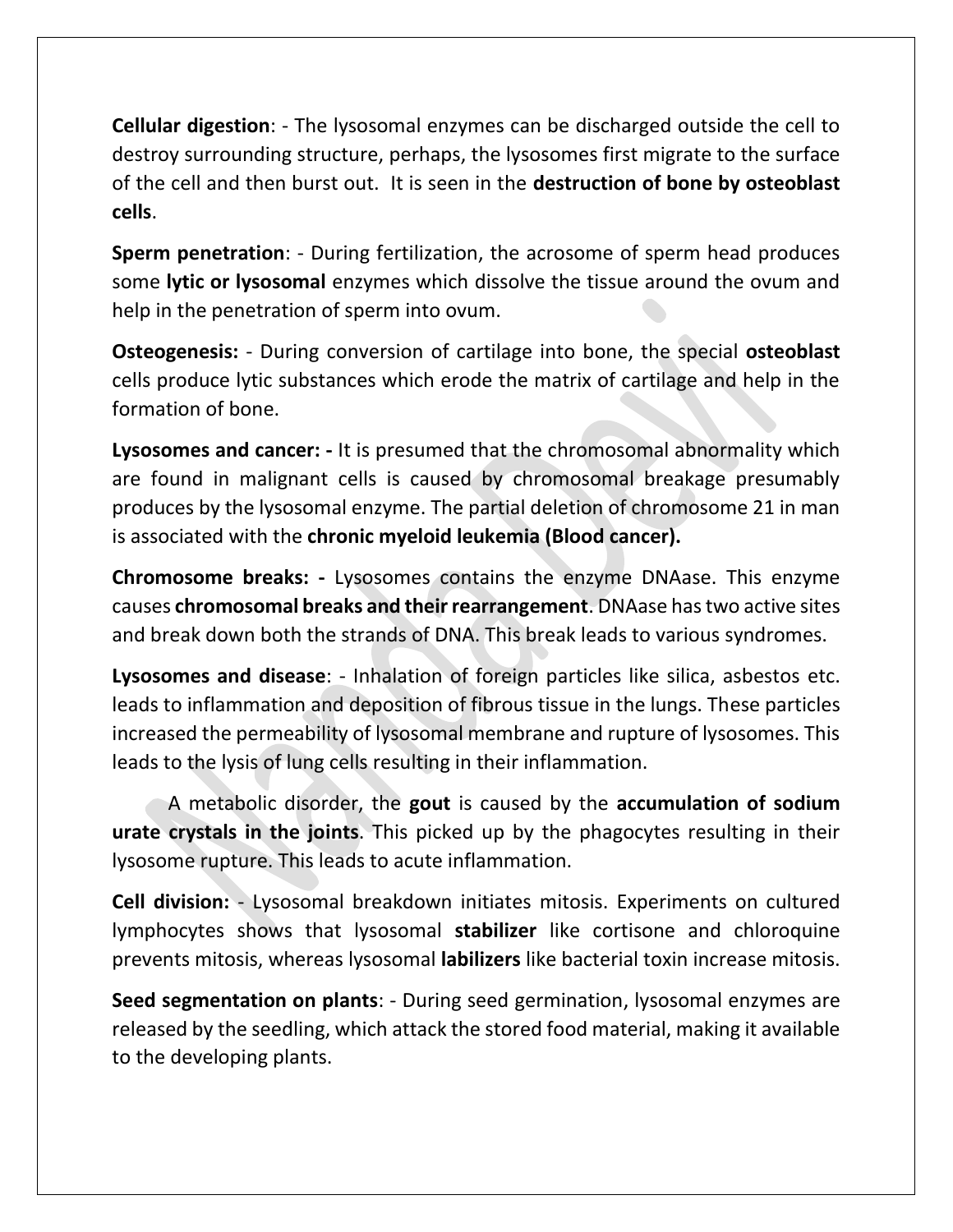**Cellular digestion**: - The lysosomal enzymes can be discharged outside the cell to destroy surrounding structure, perhaps, the lysosomes first migrate to the surface of the cell and then burst out. It is seen in the **destruction of bone by osteoblast cells**.

**Sperm penetration**: - During fertilization, the acrosome of sperm head produces some **lytic or lysosomal** enzymes which dissolve the tissue around the ovum and help in the penetration of sperm into ovum.

**Osteogenesis:** - During conversion of cartilage into bone, the special **osteoblast** cells produce lytic substances which erode the matrix of cartilage and help in the formation of bone.

**Lysosomes and cancer: -** It is presumed that the chromosomal abnormality which are found in malignant cells is caused by chromosomal breakage presumably produces by the lysosomal enzyme. The partial deletion of chromosome 21 in man is associated with the **chronic myeloid leukemia (Blood cancer).**

**Chromosome breaks: -** Lysosomes contains the enzyme DNAase. This enzyme causes **chromosomal breaks and their rearrangement**. DNAase has two active sites and break down both the strands of DNA. This break leads to various syndromes.

**Lysosomes and disease**: - Inhalation of foreign particles like silica, asbestos etc. leads to inflammation and deposition of fibrous tissue in the lungs. These particles increased the permeability of lysosomal membrane and rupture of lysosomes. This leads to the lysis of lung cells resulting in their inflammation.

A metabolic disorder, the **gout** is caused by the **accumulation of sodium urate crystals in the joints**. This picked up by the phagocytes resulting in their lysosome rupture. This leads to acute inflammation.

**Cell division:** - Lysosomal breakdown initiates mitosis. Experiments on cultured lymphocytes shows that lysosomal **stabilizer** like cortisone and chloroquine prevents mitosis, whereas lysosomal **labilizers** like bacterial toxin increase mitosis.

**Seed segmentation on plants**: - During seed germination, lysosomal enzymes are released by the seedling, which attack the stored food material, making it available to the developing plants.